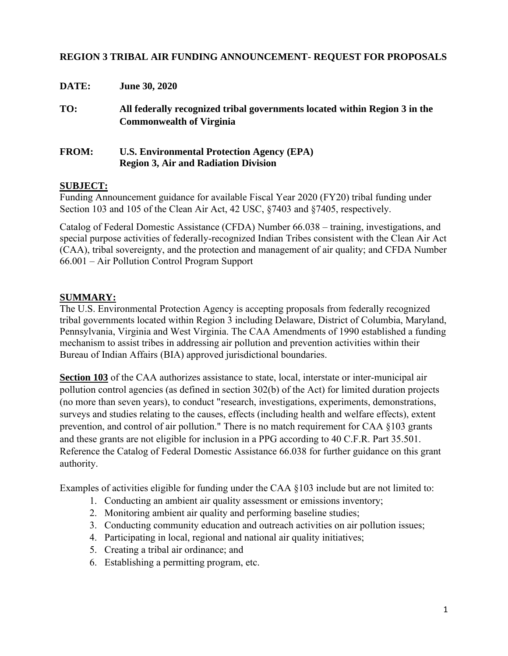#### **REGION 3 TRIBAL AIR FUNDING ANNOUNCEMENT- REQUEST FOR PROPOSALS**

| DATE:        | <b>June 30, 2020</b>                                                                                          |
|--------------|---------------------------------------------------------------------------------------------------------------|
| TO:          | All federally recognized tribal governments located within Region 3 in the<br><b>Commonwealth of Virginia</b> |
| <b>FROM:</b> | <b>U.S. Environmental Protection Agency (EPA)</b><br><b>Region 3, Air and Radiation Division</b>              |

#### **SUBJECT:**

Funding Announcement guidance for available Fiscal Year 2020 (FY20) tribal funding under Section 103 and 105 of the Clean Air Act, 42 USC, §7403 and §7405, respectively.

Catalog of Federal Domestic Assistance (CFDA) Number 66.038 – training, investigations, and special purpose activities of federally-recognized Indian Tribes consistent with the Clean Air Act (CAA), tribal sovereignty, and the protection and management of air quality; and CFDA Number 66.001 – Air Pollution Control Program Support

#### **SUMMARY:**

The U.S. Environmental Protection Agency is accepting proposals from federally recognized tribal governments located within Region 3 including Delaware, District of Columbia, Maryland, Pennsylvania, Virginia and West Virginia. The CAA Amendments of 1990 established a funding mechanism to assist tribes in addressing air pollution and prevention activities within their Bureau of Indian Affairs (BIA) approved jurisdictional boundaries.

**Section 103** of the CAA authorizes assistance to state, local, interstate or inter-municipal air pollution control agencies (as defined in section 302(b) of the Act) for limited duration projects (no more than seven years), to conduct "research, investigations, experiments, demonstrations, surveys and studies relating to the causes, effects (including health and welfare effects), extent prevention, and control of air pollution." There is no match requirement for CAA §103 grants and these grants are not eligible for inclusion in a PPG according to 40 C.F.R. Part 35.501. Reference the Catalog of Federal Domestic Assistance 66.038 for further guidance on this grant authority.

Examples of activities eligible for funding under the CAA §103 include but are not limited to:

- 1. Conducting an ambient air quality assessment or emissions inventory;
- 2. Monitoring ambient air quality and performing baseline studies;
- 3. Conducting community education and outreach activities on air pollution issues;
- 4. Participating in local, regional and national air quality initiatives;
- 5. Creating a tribal air ordinance; and
- 6. Establishing a permitting program, etc.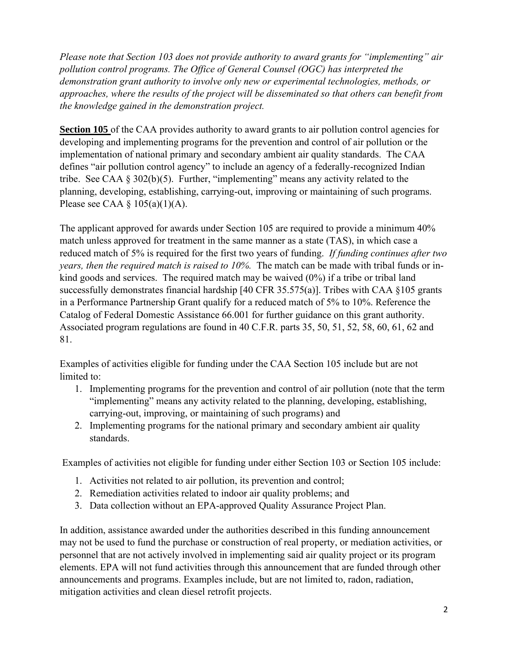*Please note that Section 103 does not provide authority to award grants for "implementing" air pollution control programs. The Office of General Counsel (OGC) has interpreted the demonstration grant authority to involve only new or experimental technologies, methods, or approaches, where the results of the project will be disseminated so that others can benefit from the knowledge gained in the demonstration project.*

**Section 105** of the CAA provides authority to award grants to air pollution control agencies for developing and implementing programs for the prevention and control of air pollution or the implementation of national primary and secondary ambient air quality standards. The CAA defines "air pollution control agency" to include an agency of a federally-recognized Indian tribe. See CAA  $\S 302(b)(5)$ . Further, "implementing" means any activity related to the planning, developing, establishing, carrying-out, improving or maintaining of such programs. Please see CAA  $\S$  105(a)(1)(A).

The applicant approved for awards under Section 105 are required to provide a minimum 40% match unless approved for treatment in the same manner as a state (TAS), in which case a reduced match of 5% is required for the first two years of funding. *If funding continues after two years, then the required match is raised to 10%.* The match can be made with tribal funds or inkind goods and services. The required match may be waived (0%) if a tribe or tribal land successfully demonstrates financial hardship [40 CFR 35.575(a)]. Tribes with CAA §105 grants in a Performance Partnership Grant qualify for a reduced match of 5% to 10%. Reference the Catalog of Federal Domestic Assistance 66.001 for further guidance on this grant authority. Associated program regulations are found in 40 C.F.R. parts 35, 50, 51, 52, 58, 60, 61, 62 and 81.

Examples of activities eligible for funding under the CAA Section 105 include but are not limited to:

- 1. Implementing programs for the prevention and control of air pollution (note that the term "implementing" means any activity related to the planning, developing, establishing, carrying-out, improving, or maintaining of such programs) and
- 2. Implementing programs for the national primary and secondary ambient air quality standards.

Examples of activities not eligible for funding under either Section 103 or Section 105 include:

- 1. Activities not related to air pollution, its prevention and control;
- 2. Remediation activities related to indoor air quality problems; and
- 3. Data collection without an EPA-approved Quality Assurance Project Plan.

In addition, assistance awarded under the authorities described in this funding announcement may not be used to fund the purchase or construction of real property, or mediation activities, or personnel that are not actively involved in implementing said air quality project or its program elements. EPA will not fund activities through this announcement that are funded through other announcements and programs. Examples include, but are not limited to, radon, radiation, mitigation activities and clean diesel retrofit projects.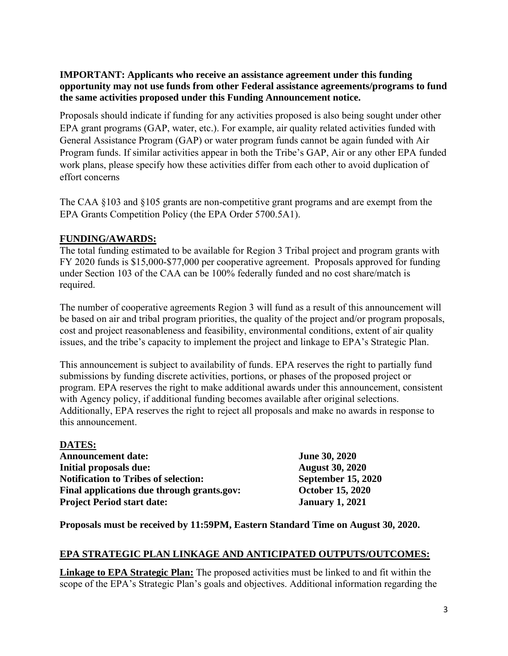**IMPORTANT: Applicants who receive an assistance agreement under this funding opportunity may not use funds from other Federal assistance agreements/programs to fund the same activities proposed under this Funding Announcement notice.**

Proposals should indicate if funding for any activities proposed is also being sought under other EPA grant programs (GAP, water, etc.). For example, air quality related activities funded with General Assistance Program (GAP) or water program funds cannot be again funded with Air Program funds. If similar activities appear in both the Tribe's GAP, Air or any other EPA funded work plans, please specify how these activities differ from each other to avoid duplication of effort concerns

The CAA §103 and §105 grants are non-competitive grant programs and are exempt from the EPA Grants Competition Policy (the EPA Order 5700.5A1).

### **FUNDING/AWARDS:**

The total funding estimated to be available for Region 3 Tribal project and program grants with FY 2020 funds is \$15,000-\$77,000 per cooperative agreement. Proposals approved for funding under Section 103 of the CAA can be 100% federally funded and no cost share/match is required.

The number of cooperative agreements Region 3 will fund as a result of this announcement will be based on air and tribal program priorities, the quality of the project and/or program proposals, cost and project reasonableness and feasibility, environmental conditions, extent of air quality issues, and the tribe's capacity to implement the project and linkage to EPA's Strategic Plan.

This announcement is subject to availability of funds. EPA reserves the right to partially fund submissions by funding discrete activities, portions, or phases of the proposed project or program. EPA reserves the right to make additional awards under this announcement, consistent with Agency policy, if additional funding becomes available after original selections. Additionally, EPA reserves the right to reject all proposals and make no awards in response to this announcement.

**DATES: Announcement date: June 30, 2020 Initial proposals due:** August 30, 2020 Notification to Tribes of selection: September 15, 2020 **Final applications due through grants.gov: October 15, 2020 Project Period start date: January 1, 2021**

**Proposals must be received by 11:59PM, Eastern Standard Time on August 30, 2020.** 

### **EPA STRATEGIC PLAN LINKAGE AND ANTICIPATED OUTPUTS/OUTCOMES:**

**Linkage to EPA Strategic Plan:** The proposed activities must be linked to and fit within the scope of the EPA's Strategic Plan's goals and objectives. Additional information regarding the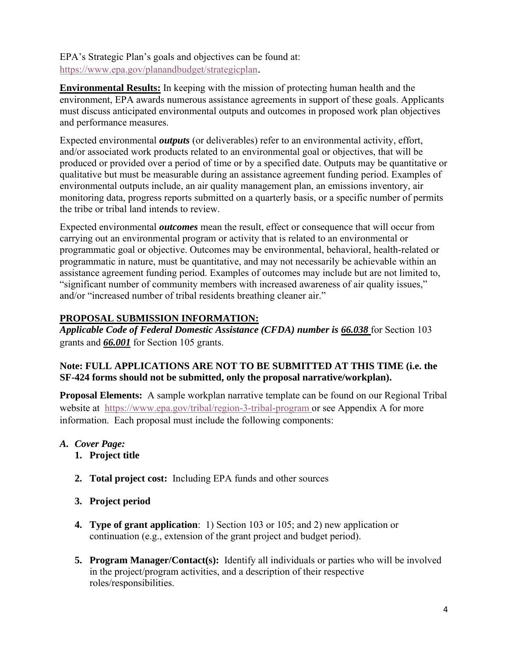EPA's Strategic Plan's goals and objectives can be found at: <https://www.epa.gov/planandbudget/strategicplan>.

**Environmental Results:** In keeping with the mission of protecting human health and the environment, EPA awards numerous assistance agreements in support of these goals. Applicants must discuss anticipated environmental outputs and outcomes in proposed work plan objectives and performance measures.

Expected environmental *outputs* (or deliverables) refer to an environmental activity, effort, and/or associated work products related to an environmental goal or objectives, that will be produced or provided over a period of time or by a specified date. Outputs may be quantitative or qualitative but must be measurable during an assistance agreement funding period. Examples of environmental outputs include, an air quality management plan, an emissions inventory, air monitoring data, progress reports submitted on a quarterly basis, or a specific number of permits the tribe or tribal land intends to review.

Expected environmental *outcomes* mean the result, effect or consequence that will occur from carrying out an environmental program or activity that is related to an environmental or programmatic goal or objective. Outcomes may be environmental, behavioral, health-related or programmatic in nature, must be quantitative, and may not necessarily be achievable within an assistance agreement funding period. Examples of outcomes may include but are not limited to, "significant number of community members with increased awareness of air quality issues," and/or "increased number of tribal residents breathing cleaner air."

## **PROPOSAL SUBMISSION INFORMATION:**

*Applicable Code of Federal Domestic Assistance (CFDA) number is 66.038* for Section 103 grants and *66.001* for Section 105 grants.

## **Note: FULL APPLICATIONS ARE NOT TO BE SUBMITTED AT THIS TIME (i.e. the SF-424 forms should not be submitted, only the proposal narrative/workplan).**

**Proposal Elements:** A sample workplan narrative template can be found on our Regional Tribal website at <https://www.epa.gov/tribal/region-3-tribal-program> or see Appendix A for more information. Each proposal must include the following components:

- *A. Cover Page:* 
	- **1. Project title**
	- **2. Total project cost:** Including EPA funds and other sources
	- **3. Project period**
	- **4. Type of grant application**: 1) Section 103 or 105; and 2) new application or continuation (e.g., extension of the grant project and budget period).
	- **5. Program Manager/Contact(s):** Identify all individuals or parties who will be involved in the project/program activities, and a description of their respective roles/responsibilities.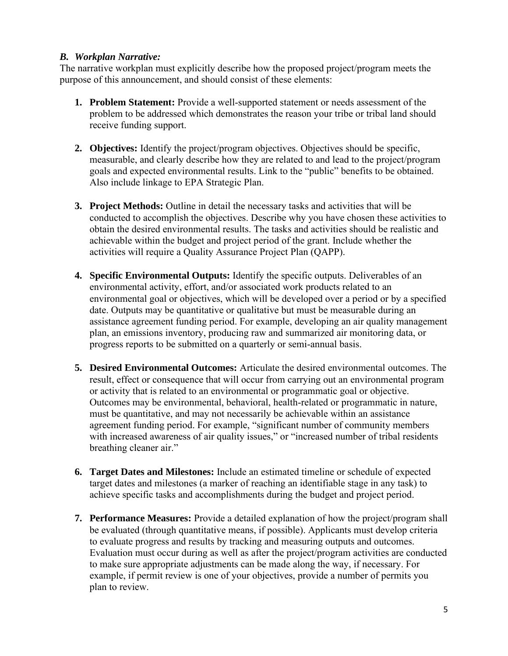#### *B. Workplan Narrative:*

The narrative workplan must explicitly describe how the proposed project/program meets the purpose of this announcement, and should consist of these elements:

- **1. Problem Statement:** Provide a well-supported statement or needs assessment of the problem to be addressed which demonstrates the reason your tribe or tribal land should receive funding support.
- **2. Objectives:** Identify the project/program objectives. Objectives should be specific, measurable, and clearly describe how they are related to and lead to the project/program goals and expected environmental results. Link to the "public" benefits to be obtained. Also include linkage to EPA Strategic Plan.
- **3. Project Methods:** Outline in detail the necessary tasks and activities that will be conducted to accomplish the objectives. Describe why you have chosen these activities to obtain the desired environmental results. The tasks and activities should be realistic and achievable within the budget and project period of the grant. Include whether the activities will require a Quality Assurance Project Plan (QAPP).
- **4. Specific Environmental Outputs:** Identify the specific outputs. Deliverables of an environmental activity, effort, and/or associated work products related to an environmental goal or objectives, which will be developed over a period or by a specified date. Outputs may be quantitative or qualitative but must be measurable during an assistance agreement funding period. For example, developing an air quality management plan, an emissions inventory, producing raw and summarized air monitoring data, or progress reports to be submitted on a quarterly or semi-annual basis.
- **5. Desired Environmental Outcomes:** Articulate the desired environmental outcomes. The result, effect or consequence that will occur from carrying out an environmental program or activity that is related to an environmental or programmatic goal or objective. Outcomes may be environmental, behavioral, health-related or programmatic in nature, must be quantitative, and may not necessarily be achievable within an assistance agreement funding period. For example, "significant number of community members with increased awareness of air quality issues," or "increased number of tribal residents breathing cleaner air."
- **6. Target Dates and Milestones:** Include an estimated timeline or schedule of expected target dates and milestones (a marker of reaching an identifiable stage in any task) to achieve specific tasks and accomplishments during the budget and project period.
- **7. Performance Measures:** Provide a detailed explanation of how the project/program shall be evaluated (through quantitative means, if possible). Applicants must develop criteria to evaluate progress and results by tracking and measuring outputs and outcomes. Evaluation must occur during as well as after the project/program activities are conducted to make sure appropriate adjustments can be made along the way, if necessary. For example, if permit review is one of your objectives, provide a number of permits you plan to review.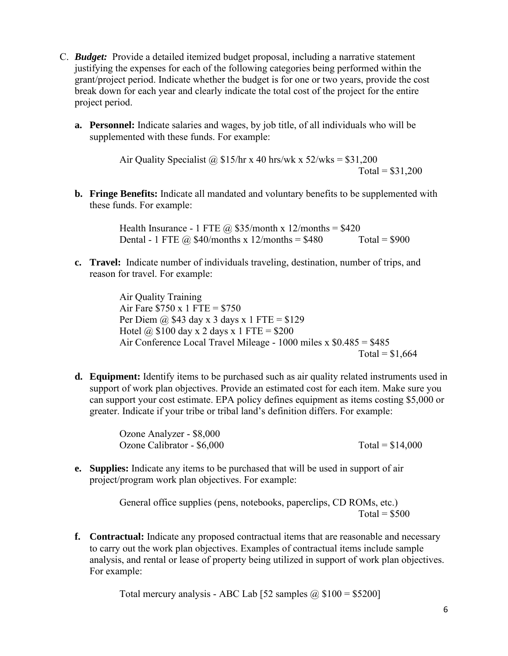- C. *Budget:* Provide a detailed itemized budget proposal, including a narrative statement justifying the expenses for each of the following categories being performed within the grant/project period. Indicate whether the budget is for one or two years, provide the cost break down for each year and clearly indicate the total cost of the project for the entire project period.
	- **a. Personnel:** Indicate salaries and wages, by job title, of all individuals who will be supplemented with these funds. For example:

Air Quality Specialist @  $$15/hr \times 40$  hrs/wk x  $52/w$ ks =  $$31,200$  $Total = $31,200$ 

**b. Fringe Benefits:** Indicate all mandated and voluntary benefits to be supplemented with these funds. For example:

> Health Insurance - 1 FTE  $\omega$  \$35/month x 12/months = \$420 Dental - 1 FTE  $\omega$  \$40/months x 12/months = \$480 Total = \$900

**c. Travel:** Indicate number of individuals traveling, destination, number of trips, and reason for travel. For example:

> Air Quality Training Air Fare  $$750 \times 1$  FTE = \$750 Per Diem @  $$43$  day x 3 days x 1 FTE =  $$129$ Hotel @  $$100$  day x 2 days x 1 FTE =  $$200$ Air Conference Local Travel Mileage - 1000 miles x \$0.485 = \$485  $Total = $1,664$

**d. Equipment:** Identify items to be purchased such as air quality related instruments used in support of work plan objectives. Provide an estimated cost for each item. Make sure you can support your cost estimate. EPA policy defines equipment as items costing \$5,000 or greater. Indicate if your tribe or tribal land's definition differs. For example:

> Ozone Analyzer - \$8,000 Ozone Calibrator -  $$6,000$  Total =  $$14,000$

**e. Supplies:** Indicate any items to be purchased that will be used in support of air project/program work plan objectives. For example:

> General office supplies (pens, notebooks, paperclips, CD ROMs, etc.) Total =  $$500$

**f. Contractual:** Indicate any proposed contractual items that are reasonable and necessary to carry out the work plan objectives. Examples of contractual items include sample analysis, and rental or lease of property being utilized in support of work plan objectives. For example:

Total mercury analysis - ABC Lab [52 samples  $\omega$  \$100 = \$5200]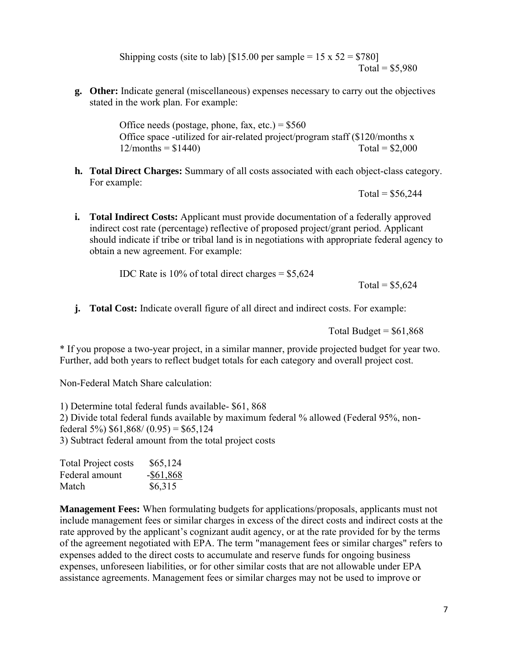Shipping costs (site to lab) [\$15.00 per sample =  $15 \times 52 = $780$ ]  $Total = $5,980$ 

**g. Other:** Indicate general (miscellaneous) expenses necessary to carry out the objectives stated in the work plan. For example:

> Office needs (postage, phone, fax, etc.) =  $$560$ Office space -utilized for air-related project/program staff (\$120/months x  $12/\text{months} = $1440$  Total = \$2,000

**h. Total Direct Charges:** Summary of all costs associated with each object-class category. For example:

 $Total = $56,244$ 

**i. Total Indirect Costs:** Applicant must provide documentation of a federally approved indirect cost rate (percentage) reflective of proposed project/grant period. Applicant should indicate if tribe or tribal land is in negotiations with appropriate federal agency to obtain a new agreement. For example:

IDC Rate is  $10\%$  of total direct charges =  $$5,624$ 

Total =  $$5,624$ 

**j. Total Cost:** Indicate overall figure of all direct and indirect costs. For example:

Total Budget  $=$  \$61,868

\* If you propose a two-year project, in a similar manner, provide projected budget for year two. Further, add both years to reflect budget totals for each category and overall project cost.

Non-Federal Match Share calculation:

1) Determine total federal funds available- \$61, 868 2) Divide total federal funds available by maximum federal % allowed (Federal 95%, nonfederal 5%)  $$61,868/(0.95) = $65,124$ 3) Subtract federal amount from the total project costs

| <b>Total Project costs</b> | \$65,124     |
|----------------------------|--------------|
| Federal amount             | $-$ \$61,868 |
| Match                      | \$6,315      |

**Management Fees:** When formulating budgets for applications/proposals, applicants must not include management fees or similar charges in excess of the direct costs and indirect costs at the rate approved by the applicant's cognizant audit agency, or at the rate provided for by the terms of the agreement negotiated with EPA. The term "management fees or similar charges" refers to expenses added to the direct costs to accumulate and reserve funds for ongoing business expenses, unforeseen liabilities, or for other similar costs that are not allowable under EPA assistance agreements. Management fees or similar charges may not be used to improve or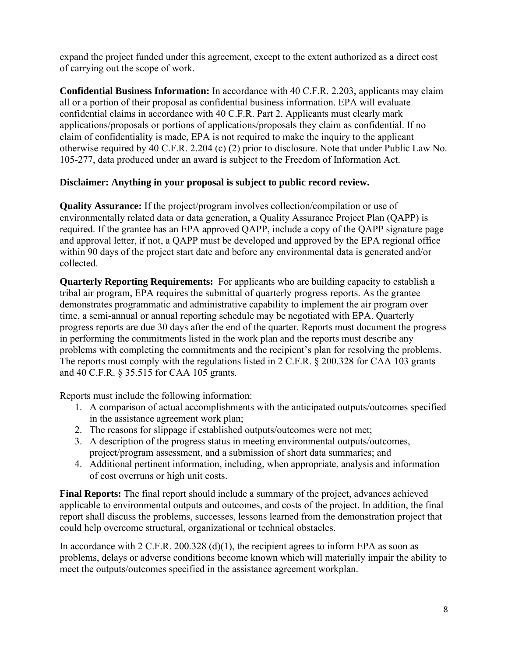expand the project funded under this agreement, except to the extent authorized as a direct cost of carrying out the scope of work.

**Confidential Business Information:** In accordance with 40 C.F.R. 2.203, applicants may claim all or a portion of their proposal as confidential business information. EPA will evaluate confidential claims in accordance with 40 C.F.R. Part 2. Applicants must clearly mark applications/proposals or portions of applications/proposals they claim as confidential. If no claim of confidentiality is made, EPA is not required to make the inquiry to the applicant otherwise required by 40 C.F.R. 2.204 (c) (2) prior to disclosure. Note that under Public Law No. 105-277, data produced under an award is subject to the Freedom of Information Act.

## **Disclaimer: Anything in your proposal is subject to public record review.**

**Quality Assurance:** If the project/program involves collection/compilation or use of environmentally related data or data generation, a Quality Assurance Project Plan (QAPP) is required. If the grantee has an EPA approved QAPP, include a copy of the QAPP signature page and approval letter, if not, a QAPP must be developed and approved by the EPA regional office within 90 days of the project start date and before any environmental data is generated and/or collected.

**Quarterly Reporting Requirements:** For applicants who are building capacity to establish a tribal air program, EPA requires the submittal of quarterly progress reports. As the grantee demonstrates programmatic and administrative capability to implement the air program over time, a semi-annual or annual reporting schedule may be negotiated with EPA. Quarterly progress reports are due 30 days after the end of the quarter. Reports must document the progress in performing the commitments listed in the work plan and the reports must describe any problems with completing the commitments and the recipient's plan for resolving the problems. The reports must comply with the regulations listed in 2 C.F.R. § 200.328 for CAA 103 grants and 40 C.F.R. § 35.515 for CAA 105 grants.

Reports must include the following information:

- 1. A comparison of actual accomplishments with the anticipated outputs/outcomes specified in the assistance agreement work plan;
- 2. The reasons for slippage if established outputs/outcomes were not met;
- 3. A description of the progress status in meeting environmental outputs/outcomes, project/program assessment, and a submission of short data summaries; and
- 4. Additional pertinent information, including, when appropriate, analysis and information of cost overruns or high unit costs.

**Final Reports:** The final report should include a summary of the project, advances achieved applicable to environmental outputs and outcomes, and costs of the project. In addition, the final report shall discuss the problems, successes, lessons learned from the demonstration project that could help overcome structural, organizational or technical obstacles.

In accordance with  $2$  C.F.R. 200.328 (d)(1), the recipient agrees to inform EPA as soon as problems, delays or adverse conditions become known which will materially impair the ability to meet the outputs/outcomes specified in the assistance agreement workplan.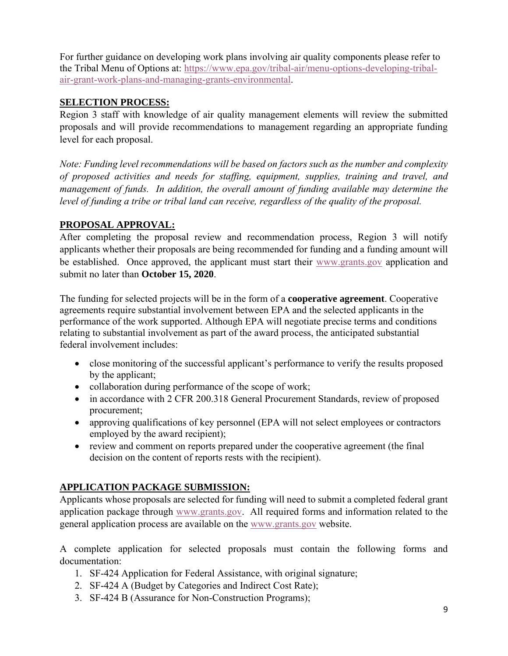For further guidance on developing work plans involving air quality components please refer to the Tribal Menu of Options at: [https://www.epa.gov/tribal-air/menu-options-developing-tribal](https://www.epa.gov/tribal-air/menu-options-developing-tribal-air-grant-work-plans-and-managing-grants-environmental)[air-grant-work-plans-and-managing-grants-environmental.](https://www.epa.gov/tribal-air/menu-options-developing-tribal-air-grant-work-plans-and-managing-grants-environmental)

## **SELECTION PROCESS:**

Region 3 staff with knowledge of air quality management elements will review the submitted proposals and will provide recommendations to management regarding an appropriate funding level for each proposal.

*Note: Funding level recommendations will be based on factors such as the number and complexity of proposed activities and needs for staffing, equipment, supplies, training and travel, and management of funds. In addition, the overall amount of funding available may determine the level of funding a tribe or tribal land can receive, regardless of the quality of the proposal.*

## **PROPOSAL APPROVAL:**

After completing the proposal review and recommendation process, Region 3 will notify applicants whether their proposals are being recommended for funding and a funding amount will be established. Once approved, the applicant must start their [www.grants.gov](http://www.grants.gov/) application and submit no later than **October 15, 2020**.

The funding for selected projects will be in the form of a **cooperative agreement**. Cooperative agreements require substantial involvement between EPA and the selected applicants in the performance of the work supported. Although EPA will negotiate precise terms and conditions relating to substantial involvement as part of the award process, the anticipated substantial federal involvement includes:

- close monitoring of the successful applicant's performance to verify the results proposed by the applicant;
- collaboration during performance of the scope of work;
- in accordance with 2 CFR 200.318 General Procurement Standards, review of proposed procurement;
- approving qualifications of key personnel (EPA will not select employees or contractors employed by the award recipient);
- review and comment on reports prepared under the cooperative agreement (the final decision on the content of reports rests with the recipient).

# **APPLICATION PACKAGE SUBMISSION:**

Applicants whose proposals are selected for funding will need to submit a completed federal grant application package through [www.grants.gov.](http://www.grants.gov/) All required forms and information related to the general application process are available on the [www.grants.gov](http://www.grants.gov/) website.

A complete application for selected proposals must contain the following forms and documentation:

- 1. SF-424 Application for Federal Assistance, with original signature;
- 2. SF-424 A (Budget by Categories and Indirect Cost Rate);
- 3. SF-424 B (Assurance for Non-Construction Programs);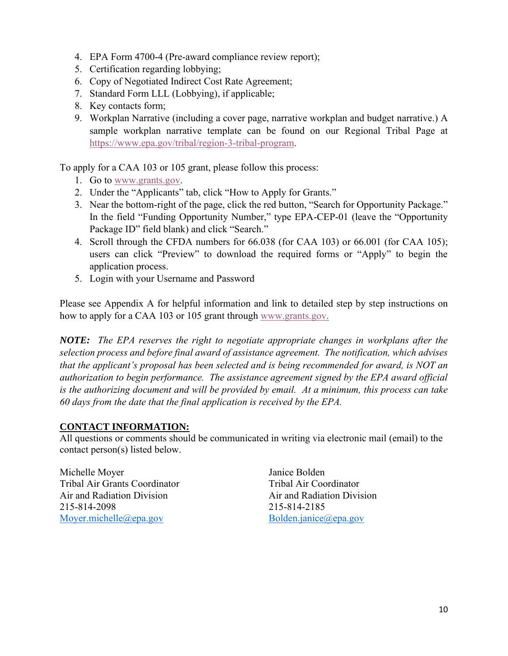- 4. EPA Form 4700-4 (Pre-award compliance review report);
- 5. Certification regarding lobbying;
- 6. Copy of Negotiated Indirect Cost Rate Agreement;
- 7. Standard Form LLL (Lobbying), if applicable;
- 8. Key contacts form;
- 9. Workplan Narrative (including a cover page, narrative workplan and budget narrative.) A sample workplan narrative template can be found on our Regional Tribal Page at [https://www.epa.gov/tribal/region-3-tribal-program.](https://www.epa.gov/tribal/region-3-tribal-program)

To apply for a CAA 103 or 105 grant, please follow this process:

- 1. Go to [www.grants.gov.](http://www.grants.gov/)
- 2. Under the "Applicants" tab, click "How to Apply for Grants."
- 3. Near the bottom-right of the page, click the red button, "Search for Opportunity Package." In the field "Funding Opportunity Number," type EPA-CEP-01 (leave the "Opportunity Package ID" field blank) and click "Search."
- 4. Scroll through the CFDA numbers for 66.038 (for CAA 103) or 66.001 (for CAA 105); users can click "Preview" to download the required forms or "Apply" to begin the application process.
- 5. Login with your Username and Password

Please see Appendix A for helpful information and link to detailed step by step instructions on how to apply for a CAA 103 or 105 grant through [www.grants.gov.](http://www.grants.gov/)

*NOTE: The EPA reserves the right to negotiate appropriate changes in workplans after the selection process and before final award of assistance agreement. The notification, which advises that the applicant's proposal has been selected and is being recommended for award, is NOT an authorization to begin performance. The assistance agreement signed by the EPA award official is the authorizing document and will be provided by email. At a minimum, this process can take 60 days from the date that the final application is received by the EPA.*

### **CONTACT INFORMATION:**

All questions or comments should be communicated in writing via electronic mail (email) to the contact person(s) listed below.

Michelle Moyer Tribal Air Grants Coordinator Air and Radiation Division 215-814-2098 [Moyer.michelle@epa.gov](mailto:Moyer.michelle@epa.gov)

Janice Bolden Tribal Air Coordinator Air and Radiation Division 215-814-2185 [Bolden.janice@epa.gov](mailto:Bolden.janice@epa.gov)